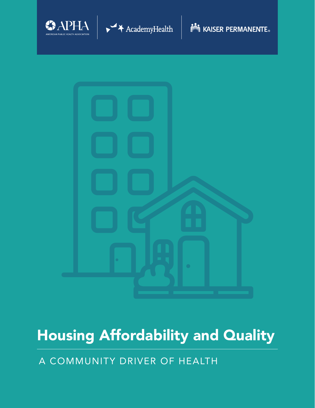



**NEW KAISER PERMANENTE.** 



# Housing Affordability and Quality

A COMMUNITY DRIVER OF HEALTH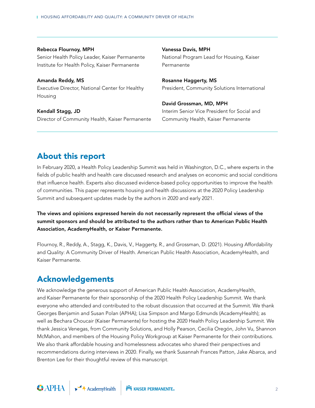Rebecca Flournoy, MPH Senior Health Policy Leader, Kaiser Permanente Institute for Health Policy, Kaiser Permanente

Amanda Reddy, MS Executive Director, National Center for Healthy Housing

Kendall Stagg, JD Director of Community Health, Kaiser Permanente Vanessa Davis, MPH National Program Lead for Housing, Kaiser Permanente

Rosanne Haggerty, MS President, Community Solutions International

David Grossman, MD, MPH Interim Senior Vice President for Social and Community Health, Kaiser Permanente

## About this report

In February 2020, a Health Policy Leadership Summit was held in Washington, D.C., where experts in the fields of public health and health care discussed research and analyses on economic and social conditions that influence health. Experts also discussed evidence-based policy opportunities to improve the health of communities. This paper represents housing and health discussions at the 2020 Policy Leadership Summit and subsequent updates made by the authors in 2020 and early 2021.

The views and opinions expressed herein do not necessarily represent the official views of the summit sponsors and should be attributed to the authors rather than to American Public Health Association, AcademyHealth, or Kaiser Permanente.

Flournoy, R., Reddy, A., Stagg, K., Davis, V., Haggerty, R., and Grossman, D. (2021). Housing Affordability and Quality: A Community Driver of Health. American Public Health Association, AcademyHealth, and Kaiser Permanente.

## Acknowledgements

We acknowledge the generous support of American Public Health Association, AcademyHealth, and Kaiser Permanente for their sponsorship of the 2020 Health Policy Leadership Summit. We thank everyone who attended and contributed to the robust discussion that occurred at the Summit. We thank Georges Benjamin and Susan Polan (APHA); Lisa Simpson and Margo Edmunds (AcademyHealth); as well as Bechara Choucair (Kaiser Permanente) for hosting the 2020 Health Policy Leadership Summit. We thank Jessica Venegas, from Community Solutions, and Holly Pearson, Cecilia Oregón, John Vu, Shannon McMahon, and members of the Housing Policy Workgroup at Kaiser Permanente for their contributions. We also thank affordable housing and homelessness advocates who shared their perspectives and recommendations during interviews in 2020. Finally, we thank Susannah Frances Patton, Jake Abarca, and Brenton Lee for their thoughtful review of this manuscript.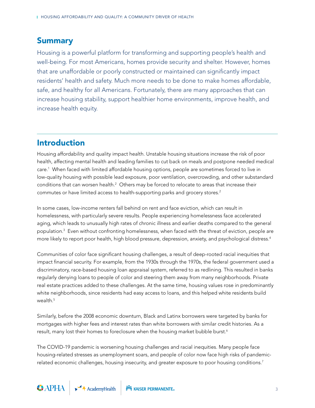## **Summary**

Housing is a powerful platform for transforming and supporting people's health and well-being. For most Americans, homes provide security and shelter. However, homes that are unaffordable or poorly constructed or maintained can significantly impact residents' health and safety. Much more needs to be done to make homes affordable, safe, and healthy for all Americans. Fortunately, there are many approaches that can increase housing stability, support healthier home environments, improve health, and increase health equity.

# Introduction

Housing affordability and quality impact health. Unstable housing situations increase the risk of poor health, affecting mental health and leading families to cut back on meals and postpone needed medical care.1 When faced with limited affordable housing options, people are sometimes forced to live in low-quality housing with possible lead exposure, poor ventilation, overcrowding, and other substandard conditions that can worsen health. $^2$  Others may be forced to relocate to areas that increase their commutes or have limited access to health-supporting parks and grocery stores.<sup>2</sup>

In some cases, low-income renters fall behind on rent and face eviction, which can result in homelessness, with particularly severe results. People experiencing homelessness face accelerated aging, which leads to unusually high rates of chronic illness and earlier deaths compared to the general population.3 Even without confronting homelessness, when faced with the threat of eviction, people are more likely to report poor health, high blood pressure, depression, anxiety, and psychological distress.4

Communities of color face significant housing challenges, a result of deep-rooted racial inequities that impact financial security. For example, from the 1930s through the 1970s, the federal government used a discriminatory, race-based housing loan appraisal system, referred to as redlining. This resulted in banks regularly denying loans to people of color and steering them away from many neighborhoods. Private real estate practices added to these challenges. At the same time, housing values rose in predominantly white neighborhoods, since residents had easy access to loans, and this helped white residents build wealth.<sup>5</sup>

Similarly, before the 2008 economic downturn, Black and Latinx borrowers were targeted by banks for mortgages with higher fees and interest rates than white borrowers with similar credit histories. As a result, many lost their homes to foreclosure when the housing market bubble burst.<sup>6</sup>

The COVID-19 pandemic is worsening housing challenges and racial inequities. Many people face housing-related stresses as unemployment soars, and people of color now face high risks of pandemicrelated economic challenges, housing insecurity, and greater exposure to poor housing conditions.<sup>7</sup>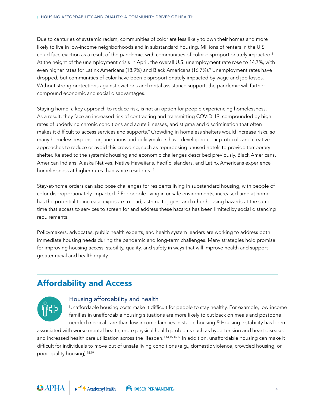Due to centuries of systemic racism, communities of color are less likely to own their homes and more likely to live in low-income neighborhoods and in substandard housing. Millions of renters in the U.S. could face eviction as a result of the pandemic, with communities of color disproportionately impacted.<sup>8</sup> At the height of the unemployment crisis in April, the overall U.S. unemployment rate rose to 14.7%, with even higher rates for Latinx Americans (18.9%) and Black Americans (16.7%).<sup>9</sup> Unemployment rates have dropped, but communities of color have been disproportionately impacted by wage and job losses. Without strong protections against evictions and rental assistance support, the pandemic will further compound economic and social disadvantages.

Staying home, a key approach to reduce risk, is not an option for people experiencing homelessness. As a result, they face an increased risk of contracting and transmitting COVID-19, compounded by high rates of underlying chronic conditions and acute illnesses, and stigma and discrimination that often makes it difficult to access services and supports. $^{\circ}$  Crowding in homeless shelters would increase risks, so many homeless response organizations and policymakers have developed clear protocols and creative approaches to reduce or avoid this crowding, such as repurposing unused hotels to provide temporary shelter. Related to the systemic housing and economic challenges described previously, Black Americans, American Indians, Alaska Natives, Native Hawaiians, Pacific Islanders, and Latinx Americans experience homelessness at higher rates than white residents.<sup>11</sup>

Stay-at-home orders can also pose challenges for residents living in substandard housing, with people of color disproportionately impacted.12 For people living in unsafe environments, increased time at home has the potential to increase exposure to lead, asthma triggers, and other housing hazards at the same time that access to services to screen for and address these hazards has been limited by social distancing requirements.

Policymakers, advocates, public health experts, and health system leaders are working to address both immediate housing needs during the pandemic and long-term challenges. Many strategies hold promise for improving housing access, stability, quality, and safety in ways that will improve health and support greater racial and health equity.

# Affordability and Access



#### Housing affordability and health

Unaffordable housing costs make it difficult for people to stay healthy. For example, low-income families in unaffordable housing situations are more likely to cut back on meals and postpone needed medical care than low-income families in stable housing.<sup>13</sup> Housing instability has been

associated with worse mental health, more physical health problems such as hypertension and heart disease, and increased health care utilization across the lifespan.<sup>1,14,15,16,17</sup> In addition, unaffordable housing can make it difficult for individuals to move out of unsafe living conditions (e.g., domestic violence, crowded housing, or poor-quality housing).18,19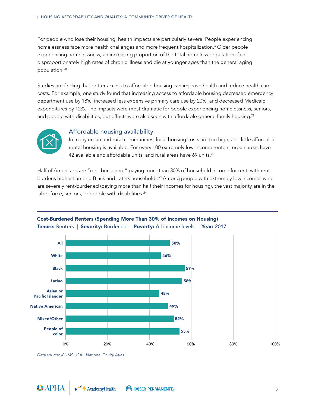For people who lose their housing, health impacts are particularly severe. People experiencing homelessness face more health challenges and more frequent hospitalization.3 Older people experiencing homelessness, an increasing proportion of the total homeless population, face disproportionately high rates of chronic illness and die at younger ages than the general aging population.20

Studies are finding that better access to affordable housing can improve health and reduce health care costs. For example, one study found that increasing access to affordable housing decreased emergency department use by 18%, increased less expensive primary care use by 20%, and decreased Medicaid expenditures by 12%. The impacts were most dramatic for people experiencing homelessness, seniors, and people with disabilities, but effects were also seen with affordable general family housing.<sup>21</sup>



## Affordable housing availability

In many urban and rural communities, local housing costs are too high, and little affordable rental housing is available. For every 100 extremely low-income renters, urban areas have 42 available and affordable units, and rural areas have 69 units.<sup>22</sup>

Half of Americans are "rent-burdened," paying more than 30% of household income for rent, with rent burdens highest among Black and Latinx households.23 Among people with extremely low incomes who are severely rent-burdened (paying more than half their incomes for housing), the vast majority are in the labor force, seniors, or people with disabilities.<sup>24</sup>



## Cost-Burdened Renters (Spending More Than 30% of Incomes on Housing) Tenure: Renters | Severity: Burdened | Poverty: All income levels | Year: 2017

*Data source: IPUMS USA | National Equity Atlas*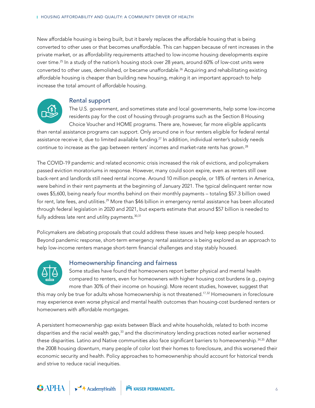New affordable housing is being built, but it barely replaces the affordable housing that is being converted to other uses or that becomes unaffordable. This can happen because of rent increases in the private market, or as affordability requirements attached to low-income housing developments expire over time.25 In a study of the nation's housing stock over 28 years, around 60% of low-cost units were converted to other uses, demolished, or became unaffordable.26 Acquiring and rehabilitating existing affordable housing is cheaper than building new housing, making it an important approach to help increase the total amount of affordable housing.



#### Rental support

The U.S. government, and sometimes state and local governments, help some low-income residents pay for the cost of housing through programs such as the Section 8 Housing Choice Voucher and HOME programs. There are, however, far more eligible applicants

than rental assistance programs can support. Only around one in four renters eligible for federal rental assistance receive it, due to limited available funding.<sup>27</sup> In addition, individual renter's subsidy needs continue to increase as the gap between renters' incomes and market-rate rents has grown.<sup>28</sup>

The COVID-19 pandemic and related economic crisis increased the risk of evictions, and policymakers passed eviction moratoriums in response. However, many could soon expire, even as renters still owe back-rent and landlords still need rental income. Around 10 million people, or 18% of renters in America, were behind in their rent payments at the beginning of January 2021. The typical delinquent renter now owes \$5,600, being nearly four months behind on their monthly payments – totaling \$57.3 billion owed for rent, late fees, and utilities.<sup>29</sup> More than \$46 billion in emergency rental assistance has been allocated through federal legislation in 2020 and 2021, but experts estimate that around \$57 billion is needed to fully address late rent and utility payments.<sup>30,31</sup>

Policymakers are debating proposals that could address these issues and help keep people housed. Beyond pandemic response, short-term emergency rental assistance is being explored as an approach to help low-income renters manage short-term financial challenges and stay stably housed.



## Homeownership financing and fairness

Some studies have found that homeowners report better physical and mental health compared to renters, even for homeowners with higher housing cost burdens (e.g., paying more than 30% of their income on housing). More recent studies, however, suggest that

this may only be true for adults whose homeownership is not threatened.<sup>17,32</sup> Homeowners in foreclosure may experience even worse physical and mental health outcomes than housing-cost burdened renters or homeowners with affordable mortgages.

A persistent homeownership gap exists between Black and white households, related to both income disparities and the racial wealth gap,<sup>33</sup> and the discriminatory lending practices noted earlier worsened these disparities. Latino and Native communities also face significant barriers to homeownership.<sup>34,35</sup> After the 2008 housing downturn, many people of color lost their homes to foreclosure, and this worsened their economic security and health. Policy approaches to homeownership should account for historical trends and strive to reduce racial inequities.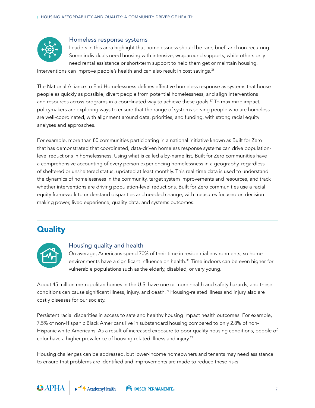

#### Homeless response systems

Leaders in this area highlight that homelessness should be rare, brief, and non-recurring. Some individuals need housing with intensive, wraparound supports, while others only need rental assistance or short-term support to help them get or maintain housing.

Interventions can improve people's health and can also result in cost savings.<sup>36</sup>

The National Alliance to End Homelessness defines effective homeless response as systems that house people as quickly as possible, divert people from potential homelessness, and align interventions and resources across programs in a coordinated way to achieve these goals.<sup>37</sup> To maximize impact, policymakers are exploring ways to ensure that the range of systems serving people who are homeless are well-coordinated, with alignment around data, priorities, and funding, with strong racial equity analyses and approaches.

For example, more than 80 communities participating in a national initiative known as Built for Zero that has demonstrated that coordinated, data-driven homeless response systems can drive populationlevel reductions in homelessness. Using what is called a by-name list, Built for Zero communities have a comprehensive accounting of every person experiencing homelessness in a geography, regardless of sheltered or unsheltered status, updated at least monthly. This real-time data is used to understand the dynamics of homelessness in the community, target system improvements and resources, and track whether interventions are driving population-level reductions. Built for Zero communities use a racial equity framework to understand disparities and needed change, with measures focused on decisionmaking power, lived experience, quality data, and systems outcomes.

# **Quality**



#### Housing quality and health

On average, Americans spend 70% of their time in residential environments, so home environments have a significant influence on health.<sup>38</sup> Time indoors can be even higher for vulnerable populations such as the elderly, disabled, or very young.

About 45 million metropolitan homes in the U.S. have one or more health and safety hazards, and these conditions can cause significant illness, injury, and death.<sup>39</sup> Housing-related illness and injury also are costly diseases for our society.

Persistent racial disparities in access to safe and healthy housing impact health outcomes. For example, 7.5% of non-Hispanic Black Americans live in substandard housing compared to only 2.8% of non-Hispanic white Americans. As a result of increased exposure to poor quality housing conditions, people of color have a higher prevalence of housing-related illness and injury.12

Housing challenges can be addressed, but lower-income homeowners and tenants may need assistance to ensure that problems are identified and improvements are made to reduce these risks.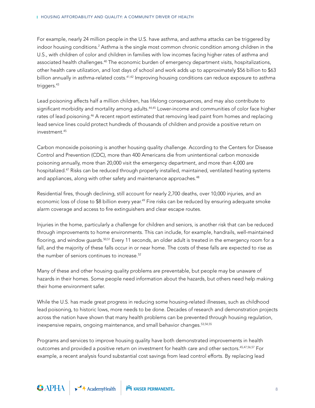For example, nearly 24 million people in the U.S. have asthma, and asthma attacks can be triggered by indoor housing conditions. $^2$  Asthma is the single most common chronic condition among children in the U.S., with children of color and children in families with low incomes facing higher rates of asthma and associated health challenges.<sup>40</sup> The economic burden of emergency department visits, hospitalizations, other health care utilization, and lost days of school and work adds up to approximately \$56 billion to \$63 billion annually in asthma-related costs.<sup>41,42</sup> Improving housing conditions can reduce exposure to asthma triggers.<sup>43</sup>

Lead poisoning affects half a million children, has lifelong consequences, and may also contribute to significant morbidity and mortality among adults.<sup>44,45</sup> Lower-income and communities of color face higher rates of lead poisoning.<sup>46</sup> A recent report estimated that removing lead paint from homes and replacing lead service lines could protect hundreds of thousands of children and provide a positive return on investment.45

Carbon monoxide poisoning is another housing quality challenge. According to the Centers for Disease Control and Prevention (CDC), more than 400 Americans die from unintentional carbon monoxide poisoning annually, more than 20,000 visit the emergency department, and more than 4,000 are hospitalized.47 Risks can be reduced through properly installed, maintained, ventilated heating systems and appliances, along with other safety and maintenance approaches.<sup>48</sup>

Residential fires, though declining, still account for nearly 2,700 deaths, over 10,000 injuries, and an economic loss of close to \$8 billion every year.<sup>49</sup> Fire risks can be reduced by ensuring adequate smoke alarm coverage and access to fire extinguishers and clear escape routes.

Injuries in the home, particularly a challenge for children and seniors, is another risk that can be reduced through improvements to home environments. This can include, for example, handrails, well-maintained flooring, and window guards.<sup>50,51</sup> Every 11 seconds, an older adult is treated in the emergency room for a fall, and the majority of these falls occur in or near home. The costs of these falls are expected to rise as the number of seniors continues to increase.<sup>52</sup>

Many of these and other housing quality problems are preventable, but people may be unaware of hazards in their homes. Some people need information about the hazards, but others need help making their home environment safer.

While the U.S. has made great progress in reducing some housing-related illnesses, such as childhood lead poisoning, to historic lows, more needs to be done. Decades of research and demonstration projects across the nation have shown that many health problems can be prevented through housing regulation, inexpensive repairs, ongoing maintenance, and small behavior changes.<sup>53,54,55</sup>

Programs and services to improve housing quality have both demonstrated improvements in health outcomes and provided a positive return on investment for health care and other sectors.45,47,56,57 For example, a recent analysis found substantial cost savings from lead control efforts. By replacing lead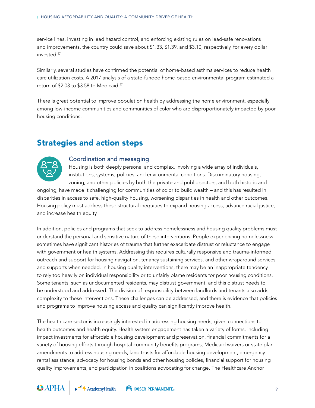service lines, investing in lead hazard control, and enforcing existing rules on lead-safe renovations and improvements, the country could save about \$1.33, \$1.39, and \$3.10, respectively, for every dollar invested.47

Similarly, several studies have confirmed the potential of home-based asthma services to reduce health care utilization costs. A 2017 analysis of a state-funded home-based environmental program estimated a return of \$2.03 to \$3.58 to Medicaid.<sup>57</sup>

There is great potential to improve population health by addressing the home environment, especially among low-income communities and communities of color who are disproportionately impacted by poor housing conditions.

# Strategies and action steps



## Coordination and messaging

Housing is both deeply personal and complex, involving a wide array of individuals, institutions, systems, policies, and environmental conditions. Discriminatory housing, zoning, and other policies by both the private and public sectors, and both historic and

ongoing, have made it challenging for communities of color to build wealth – and this has resulted in disparities in access to safe, high-quality housing, worsening disparities in health and other outcomes. Housing policy must address these structural inequities to expand housing access, advance racial justice, and increase health equity.

In addition, policies and programs that seek to address homelessness and housing quality problems must understand the personal and sensitive nature of these interventions. People experiencing homelessness sometimes have significant histories of trauma that further exacerbate distrust or reluctance to engage with government or health systems. Addressing this requires culturally responsive and trauma-informed outreach and support for housing navigation, tenancy sustaining services, and other wraparound services and supports when needed. In housing quality interventions, there may be an inappropriate tendency to rely too heavily on individual responsibility or to unfairly blame residents for poor housing conditions. Some tenants, such as undocumented residents, may distrust government, and this distrust needs to be understood and addressed. The division of responsibility between landlords and tenants also adds complexity to these interventions. These challenges can be addressed, and there is evidence that policies and programs to improve housing access and quality can significantly improve health.

The health care sector is increasingly interested in addressing housing needs, given connections to health outcomes and health equity. Health system engagement has taken a variety of forms, including impact investments for affordable housing development and preservation, financial commitments for a variety of housing efforts through hospital community benefits programs, Medicaid waivers or state plan amendments to address housing needs, land trusts for affordable housing development, emergency rental assistance, advocacy for housing bonds and other housing policies, financial support for housing quality improvements, and participation in coalitions advocating for change. The Healthcare Anchor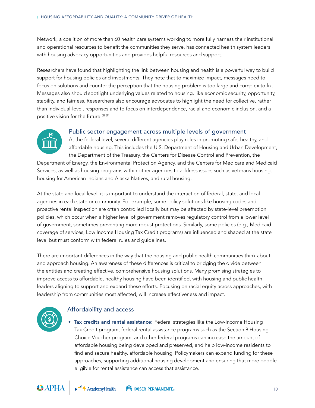Network, a coalition of more than 60 health care systems working to more fully harness their institutional and operational resources to benefit the communities they serve, has connected health system leaders with housing advocacy opportunities and provides helpful resources and support.

Researchers have found that highlighting the link between housing and health is a powerful way to build support for housing policies and investments. They note that to maximize impact, messages need to focus on solutions and counter the perception that the housing problem is too large and complex to fix. Messages also should spotlight underlying values related to housing, like economic security, opportunity, stability, and fairness. Researchers also encourage advocates to highlight the need for collective, rather than individual-level, responses and to focus on interdependence, racial and economic inclusion, and a positive vision for the future.58,59



#### Public sector engagement across multiple levels of government

At the federal level, several different agencies play roles in promoting safe, healthy, and affordable housing. This includes the U.S. Department of Housing and Urban Development, the Department of the Treasury, the Centers for Disease Control and Prevention, the

Department of Energy, the Environmental Protection Agency, and the Centers for Medicare and Medicaid Services, as well as housing programs within other agencies to address issues such as veterans housing, housing for American Indians and Alaska Natives, and rural housing.

At the state and local level, it is important to understand the interaction of federal, state, and local agencies in each state or community. For example, some policy solutions like housing codes and proactive rental inspection are often controlled locally but may be affected by state-level preemption policies, which occur when a higher level of government removes regulatory control from a lower level of government, sometimes preventing more robust protections. Similarly, some policies (e.g., Medicaid coverage of services, Low Income Housing Tax Credit programs) are influenced and shaped at the state level but must conform with federal rules and guidelines.

There are important differences in the way that the housing and public health communities think about and approach housing. An awareness of these differences is critical to bridging the divide between the entities and creating effective, comprehensive housing solutions. Many promising strategies to improve access to affordable, healthy housing have been identified, with housing and public health leaders aligning to support and expand these efforts. Focusing on racial equity across approaches, with leadership from communities most affected, will increase effectiveness and impact.



## Affordability and access

• Tax credits and rental assistance: Federal strategies like the Low-Income Housing Tax Credit program, federal rental assistance programs such as the Section 8 Housing Choice Voucher program, and other federal programs can increase the amount of affordable housing being developed and preserved, and help low-income residents to find and secure healthy, affordable housing. Policymakers can expand funding for these approaches, supporting additional housing development and ensuring that more people eligible for rental assistance can access that assistance.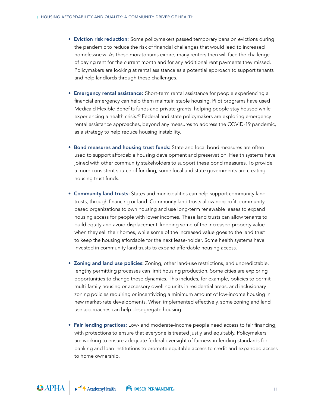- Eviction risk reduction: Some policymakers passed temporary bans on evictions during the pandemic to reduce the risk of financial challenges that would lead to increased homelessness. As these moratoriums expire, many renters then will face the challenge of paying rent for the current month and for any additional rent payments they missed. Policymakers are looking at rental assistance as a potential approach to support tenants and help landlords through these challenges.
- Emergency rental assistance: Short-term rental assistance for people experiencing a financial emergency can help them maintain stable housing. Pilot programs have used Medicaid Flexible Benefits funds and private grants, helping people stay housed while experiencing a health crisis.<sup>60</sup> Federal and state policymakers are exploring emergency rental assistance approaches, beyond any measures to address the COVID-19 pandemic, as a strategy to help reduce housing instability.
- Bond measures and housing trust funds: State and local bond measures are often used to support affordable housing development and preservation. Health systems have joined with other community stakeholders to support these bond measures. To provide a more consistent source of funding, some local and state governments are creating housing trust funds.
- Community land trusts: States and municipalities can help support community land trusts, through financing or land. Community land trusts allow nonprofit, communitybased organizations to own housing and use long-term renewable leases to expand housing access for people with lower incomes. These land trusts can allow tenants to build equity and avoid displacement, keeping some of the increased property value when they sell their homes, while some of the increased value goes to the land trust to keep the housing affordable for the next lease-holder. Some health systems have invested in community land trusts to expand affordable housing access.
- Zoning and land use policies: Zoning, other land-use restrictions, and unpredictable, lengthy permitting processes can limit housing production. Some cities are exploring opportunities to change these dynamics. This includes, for example, policies to permit multi-family housing or accessory dwelling units in residential areas, and inclusionary zoning policies requiring or incentivizing a minimum amount of low-income housing in new market-rate developments. When implemented effectively, some zoning and land use approaches can help desegregate housing.
- Fair lending practices: Low- and moderate-income people need access to fair financing, with protections to ensure that everyone is treated justly and equitably. Policymakers are working to ensure adequate federal oversight of fairness-in-lending standards for banking and loan institutions to promote equitable access to credit and expanded access to home ownership.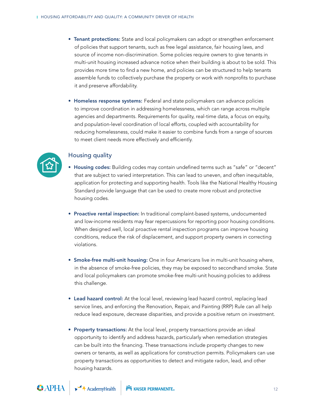- Tenant protections: State and local policymakers can adopt or strengthen enforcement of policies that support tenants, such as free legal assistance, fair housing laws, and source of income non-discrimination. Some policies require owners to give tenants in multi-unit housing increased advance notice when their building is about to be sold. This provides more time to find a new home, and policies can be structured to help tenants assemble funds to collectively purchase the property or work with nonprofits to purchase it and preserve affordability.
- Homeless response systems: Federal and state policymakers can advance policies to improve coordination in addressing homelessness, which can range across multiple agencies and departments. Requirements for quality, real-time data, a focus on equity, and population-level coordination of local efforts, coupled with accountability for reducing homelessness, could make it easier to combine funds from a range of sources to meet client needs more effectively and efficiently.



#### Housing quality

- Housing codes: Building codes may contain undefined terms such as "safe" or "decent" that are subject to varied interpretation. This can lead to uneven, and often inequitable, application for protecting and supporting health. Tools like the National Healthy Housing Standard provide language that can be used to create more robust and protective housing codes.
- Proactive rental inspection: In traditional complaint-based systems, undocumented and low-income residents may fear repercussions for reporting poor housing conditions. When designed well, local proactive rental inspection programs can improve housing conditions, reduce the risk of displacement, and support property owners in correcting violations.
- Smoke-free multi-unit housing: One in four Americans live in multi-unit housing where, in the absence of smoke-free policies, they may be exposed to secondhand smoke. State and local policymakers can promote smoke-free multi-unit housing policies to address this challenge.
- Lead hazard control: At the local level, reviewing lead hazard control, replacing lead service lines, and enforcing the Renovation, Repair, and Painting (RRP) Rule can all help reduce lead exposure, decrease disparities, and provide a positive return on investment.
- Property transactions: At the local level, property transactions provide an ideal opportunity to identify and address hazards, particularly when remediation strategies can be built into the financing. These transactions include property changes to new owners or tenants, as well as applications for construction permits. Policymakers can use property transactions as opportunities to detect and mitigate radon, lead, and other housing hazards.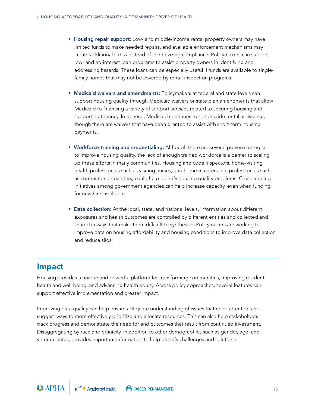- Housing repair support: Low- and middle-income rental property owners may have limited funds to make needed repairs, and available enforcement mechanisms may create additional stress instead of incentivizing compliance. Policymakers can support low- and no-interest loan programs to assist property owners in identifying and addressing hazards. These loans can be especially useful if funds are available to singlefamily homes that may not be covered by rental inspection programs.
- Medicaid waivers and amendments: Policymakers at federal and state levels can support housing quality through Medicaid waivers or state plan amendments that allow Medicaid to financing a variety of support services related to securing housing and supporting tenancy. In general, Medicaid continues to not provide rental assistance, though there are waivers that have been granted to assist with short-term housing payments.
- Workforce training and credentialing: Although there are several proven strategies to improve housing quality, the lack of enough trained workforce is a barrier to scaling up these efforts in many communities. Housing and code inspectors, home-visiting health professionals such as visiting nurses, and home maintenance professionals such as contractors or painters, could help identify housing quality problems. Cross-training initiatives among government agencies can help increase capacity, even when funding for new hires is absent.
- Data collection: At the local, state, and national levels, information about different exposures and health outcomes are controlled by different entities and collected and shared in ways that make them difficult to synthesize. Policymakers are working to improve data on housing affordability and housing conditions to improve data collection and reduce silos.

## Impact

Housing provides a unique and powerful platform for transforming communities, improving resident health and well-being, and advancing health equity. Across policy approaches, several features can support effective implementation and greater impact.

Improving data quality can help ensure adequate understanding of issues that need attention and suggest ways to more effectively prioritize and allocate resources. This can also help stakeholders track progress and demonstrate the need for and outcomes that result from continued investment. Disaggregating by race and ethnicity, in addition to other demographics such as gender, age, and veteran status, provides important information to help identify challenges and solutions.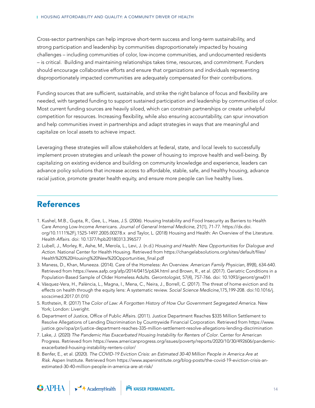Cross-sector partnerships can help improve short-term success and long-term sustainability, and strong participation and leadership by communities disproportionately impacted by housing challenges – including communities of color, low-income communities, and undocumented residents – is critical. Building and maintaining relationships takes time, resources, and commitment. Funders should encourage collaborative efforts and ensure that organizations and individuals representing disproportionately impacted communities are adequately compensated for their contributions.

Funding sources that are sufficient, sustainable, and strike the right balance of focus and flexibility are needed, with targeted funding to support sustained participation and leadership by communities of color. Most current funding sources are heavily siloed, which can constrain partnerships or create unhelpful competition for resources. Increasing flexibility, while also ensuring accountability, can spur innovation and help communities invest in partnerships and adapt strategies in ways that are meaningful and capitalize on local assets to achieve impact.

Leveraging these strategies will allow stakeholders at federal, state, and local levels to successfully implement proven strategies and unleash the power of housing to improve health and well-being. By capitalizing on existing evidence and building on community knowledge and experience, leaders can advance policy solutions that increase access to affordable, stable, safe, and healthy housing, advance racial justice, promote greater health equity, and ensure more people can live healthy lives.

# References

- 1. Kushel, M.B., Gupta, R., Gee, L., Haas, J.S. (2006). Housing Instability and Food Insecurity as Barriers to Health Care Among Low-Income Americans. *Journal of General Internal Medicine*, 21(1), 71-77. https://dx.doi. org/10.1111%2Fj.1525-1497.2005.00278.x and Taylor, L. (2018) Housing and Health: An Overview of the Literature. *Health Affairs*. doi: 10.1377/hpb20180313.396577
- 2. Lubell, J., Morley, R., Ashe, M., Merola, L., Levi, J. (n.d.) *Housing and Health: New Opportunities for Dialogue and Action*. National Center for Health Housing. Retrieved from https://changelabsolutions.org/sites/default/files/ Health%20%20Housing%20New%20Opportunities\_final.pdf
- 3. Maness, D., Khan, Muneeza. (2014). Care of the Homeless: An Overview. *American Family Physician*, 89(8), 634-640. Retrieved from https://www.aafp.org/afp/2014/0415/p634.html and Brown, R., et al. (2017). Geriatric Conditions in a Population-Based Sample of Older Homeless Adults. *Gerontologist*, 57(4), 757-766. doi: 10.1093/geront/gnw011
- 4. Vásquez-Vera, H., Palència, L., Magna, I., Mena, C., Neira, J., Borrell, C. (2017). The threat of home eviction and its effects on health through the equity lens: A systematic review. *Social Science Medicine*,175,199-208. doi:10.1016/j. socscimed.2017.01.010
- 5. Rothstein, R. (2017) T*he Color of Law: A Forgotten History of How Our Government Segregated America*. New York; London: Liveright.
- 6. Department of Justice, Office of Public Affairs. (2011). Justice Department Reaches \$335 Million Settlement to Resolve Allegations of Lending Discrimination by Countrywide Financial Corporation. Retrieved from https://www. justice.gov/opa/pr/justice-department-reaches-335-million-settlement-resolve-allegations-lending-discrimination
- 7. Lake, J. (2020) *The Pandemic Has Exacerbated Housing Instability for Renters of Color*. Center for American Progress. Retrieved from https://www.americanprogress.org/issues/poverty/reports/2020/10/30/492606/pandemicexacerbated-housing-instability-renters-color/
- 8. Benfer, E., et al. (2020). *The COVID-19 Eviction Crisis: an Estimated 30-40 Million People in America Are at Risk*. Aspen Institute. Retrieved from https://www.aspeninstitute.org/blog-posts/the-covid-19-eviction-crisis-anestimated-30-40-million-people-in-america-are-at-risk/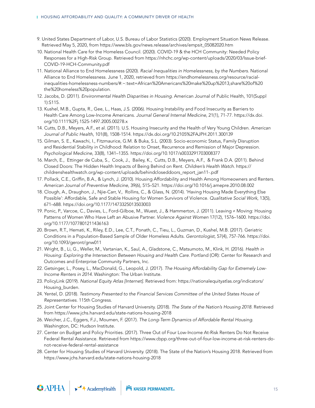- 9. United States Department of Labor, U.S. Bureau of Labor Statistics (2020). Employment Situation News Release. Retrieved May 5, 2020, from https://www.bls.gov/news.release/archives/empsit\_05082020.htm
- 10. National Health Care for the Homeless Council. (2020). COVID-19 & the HCH Community: Needed Policy Responses for a High-Risk Group. Retrieved from https://nhchc.org/wp-content/uploads/2020/03/Issue-brief-COVID-19-HCH-Community.pdf
- 11. National Alliance to End Homelessness (2020). *Racial Inequalities in Homelessness, by the Numbers*. National Alliance to End Homelessness. June 1, 2020, retrieved from https://endhomelessness.org/resource/racialinequalities-homelessness-numbers/#:~:text=African%20Americans%20make%20up%2013,share%20of%20 the%20homeless%20population.
- 12. Jacobs, D. (2011). *Environmental Health Disparities in Housing*. American Journal of Public Health, 101(Suppl 1):S115.
- 13. Kushel, M.B., Gupta, R., Gee, L., Haas, J.S. (2006). Housing Instability and Food Insecurity as Barriers to Health Care Among Low-Income Americans. *Journal General Internal Medicine*, 21(1), 71-77. https://dx.doi. org/10.1111%2Fj.1525-1497.2005.00278.x
- 14. Cutts, D.B., Meyers, A.F., et al. (2011). U.S. Housing Insecurity and the Health of Very Young Children. *American Journal of Public Health*, 101(8), 1508-1514. https://dx.doi.org/10.2105%2FAJPH.2011.300139
- 15. Gilman, S. E., Kawachi, I., Fitzmaurice, G.M. & Buka, S.L. (2003). Socio-economic Status, Family Disruption and Residential Stability in Childhood: Relation to Onset, Recurrence and Remission of Major Depression. *Psychological Medicine*, 33(8), 1341–1355. https://doi.org/10.1017/s0033291703008377
- 16. March, E., Ettinger de Cuba, S., Cook, J., Bailey, K., Cutts, D.B., Meyers, A.F., & Frank D.A. (2011). Behind Closed Doors: The Hidden Health Impacts of Being Behind on Rent. *Children's Health Watch*. https:// childrenshealthwatch.org/wp-content/uploads/behindcloseddoors\_report\_jan11-.pdf
- 17. Pollack, C.E., Griffin, B.A., & Lynch, J. (2010). Housing Affordability and Health Among Homeowners and Renters. *American Journal of Preventive Medicine*, 39(6), 515–521. https://doi.org/10.1016/j.amepre.2010.08.002
- 18. Clough, A., Draughon, J., Njie-Carr, V., Rollins, C., & Glass, N. (2014). 'Having Housing Made Everything Else Possible': Affordable, Safe and Stable Housing for Women Survivors of Violence. *Qualitative Social Work*, 13(5), 671–688. https://doi.org/10.1177/1473325013503003
- 19. Ponic, P., Varcoe, C., Davies, L., Ford-Gilboe, M., Wuest, J., & Hammerton, J. (2011). Leaving ≠ Moving: Housing Patterns of Women Who Have Left an Abusive Partner. *Violence Against Women* 17(12), 1576–1600. https://doi. org/10.1177/1077801211436163
- 20. Brown, R.T., Hemati, K., Riley, E.D., Lee, C.T., Ponath, C., Tieu, L., Guzman, D., Kushel, M.B. (2017). Geriatric Conditions in a Population-Based Sample of Older Homeless Adults. *Gerontologist*, 57(4), 757-766. https://doi. org/10.1093/geront/gnw011
- 21. Wright, B., Li, G., Weller, M., Vartanian, K., Saul, A., Gladstone, C., Matsumoto, M., Klink, H. (2016). *Health in Housing: Exploring the Intersection Between Housing and Health Care*. Portland (OR): Center for Research and Outcomes and Enterprise Community Partners, Inc.
- 22. Getsinger, L., Posey, L., MacDonald, G., Leopold, J. (2017). *The Housing Affordability Gap for Extremely Low-Income Renters in 2014*. Washington: The Urban Institute.
- 23. PolicyLink (2019). *National Equity Atlas [Internet]*. Retrieved from: https://nationalequityatlas.org/indicators/ Housing\_burden.
- 24. Yentel, D. (2018). *Testimony Presented to the Financial Services Committee of the United States House of Representatives*. 115th Congress.
- 25. Joint Center for Housing Studies of Harvard University. (2018). *The State of the Nation's Housing 2018*. Retrieved from https://www.jchs.harvard.edu/state-nations-housing-2018
- 26. Weicher, J.C., Eggers, F.J., Moumen, F. (2017). *The Long-Term Dynamics of Affordable Rental Housing*. Washington, DC: Hudson Institute.
- 27. Center on Budget and Policy Priorities. (2017). Three Out of Four Low-Income At-Risk Renters Do Not Receive Federal Rental Assistance. Retrieved from https://www.cbpp.org/three-out-of-four-low-income-at-risk-renters-donot-receive-federal-rental-assistance
- 28. Center for Housing Studies of Harvard University. (2018). The State of the Nation's Housing 2018. Retrieved from https://www.jchs.harvard.edu/state-nations-housing-2018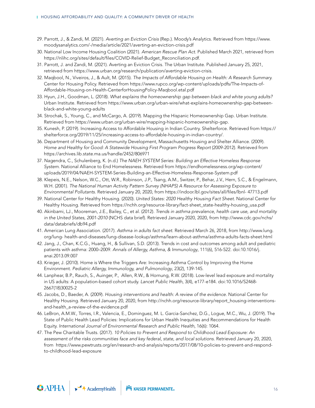- 29. Parrott, J., & Zandi, M. (2021). *Averting an Eviction Crisis* (Rep.). Moody's Analytics. Retrieved from https://www. moodysanalytics.com/-/media/article/2021/averting-an-eviction-crisis.pdf
- 30. National Low Income Housing Coalition (2021). *American Rescue Plan Act*. Published March 2021, retrieved from https://nlihc.org/sites/default/files/COVID-Relief-Budget\_Reconciliation.pdf.
- 31. Parrott, J. and Zandi, M. (2021). Averting an Eviction Crisis. The Urban Institute. Published January 25, 2021, retrieved from https://www.urban.org/research/publication/averting-eviction-crisis.
- 32. Maqbool, N., Viveiros, J., & Ault, M. (2015). *The Impacts of Affordable Housing on Health: A Research Summary.* Center for Housing Policy. Retrieved from https://www.rupco.org/wp-content/uploads/pdfs/The-Impacts-of-Affordable-Housing-on-Health-CenterforHousingPolicy-Maqbool.etal.pdf
- 33. Hyun, J.H., Goodman, L. (2018). *What explains the homeownership gap between black and white young adults?*  Urban Institute. Retrieved from https://www.urban.org/urban-wire/what-explains-homeownership-gap-betweenblack-and-white-young-adults
- 34. Strochak, S., Young, C., and McCargo, A. (2019). Mapping the Hispanic Homeownership Gap. Urban Institute. Retrieved from https://www.urban.org/urban-wire/mapping-hispanic-homeownership-gap.
- 35. Kunesh, P. (2019). Increasing Access to Affordable Housing in Indian Country. Shelterforce. Retrieved from https:// shelterforce.org/2019/11/25/increasing-access-to-affordable-housing-in-indian-country/.
- 36. Department of Housing and Community Development, Massachusetts Housing and Shelter Alliance. (2009). Home and Healthy for Good: A Statewide Housing First Program Progress Report (2009-2012). Retrieved from https://archives.lib.state.ma.us/handle/2452/806971
- 37. Nagendra, C., Schulenberg, K. (n.d.) *The NAEH SYSTEM Series: Building an Effective Homeless Response System*. National Alliance to End Homelessness. Retrieved from https://endhomelessness.org/wp-content/ uploads/2019/04/NAEH-SYSTEM-Series-Building-an-Effective-Homeless-Response-System.pdf
- 38. Klepeis, N.E., Nelson, W.C., Ott, W.R., Robinson, J.P., Tsang, A.M., Switzer, P., Behar, J.V., Hern, S.C., & Engelmann, W.H. (2001). *The National Human Activity Pattern Survey (NHAPS) A Resource for Assessing Exposure to Environmental Pollutants*. Retrieved January 20, 2020, from https://indoor.lbl.gov/sites/all/files/lbnl- 47713.pdf
- 39. National Center for Healthy Housing. (2020). *United States: 2020 Healthy Housing Fact Sheet*. National Center for Healthy Housing. Retrieved from https://nchh.org/resource-library/fact-sheet\_state-healthy-housing\_usa.pdf
- 40. Akinbami, LJ., Mooreman, J.E., Bailey, C., et al. (2012). *Trends in asthma prevalence, health care use, and mortality in the United States, 2001-2010* (NCHS data brief). Retrieved January 2020, 2020, from http://www.cdc.gov/nchs/ data/databriefs/db94.pdf
- 41. American Lung Association. (2017). *Asthma in adults fact sheet*. Retrieved March 26, 2018, from http://www.lung. org/lung- health-and-diseases/lung-disease-lookup/asthma/learn-about-asthma/asthma-adults-facts-sheet.html
- 42. Jang, J., Chan, K.C.G., Huang, H., & Sullivan, S.D. (2013). Trends in cost and outcomes among adult and pediatric patients with asthma: 2000–2009. *Annals of Allergy, Asthma, & Immunology*, 111(6), 516-522. doi:10.1016/j. anai.2013.09.007
- 43. Krieger, J. (2010). Home is Where the Triggers Are: Increasing Asthma Control by Improving the Home Environment. *Pediatric Allergy, Immunology, and Pulmonology*, 23(2), 139-145.
- 44. Lanphear, B.P., Rauch, S., Auinger, P., Allen, R.W., & Hornung, R.W. (2018). Low-level lead exposure and mortality in US adults: A population-based cohort study. *Lancet Public Health*, 3(4), e177-e184. doi:10.1016/S2468- 2667(18)30025-2
- 45. Jacobs, D., Baeder, A. (2009). *Housing interventions and health: A review of the evidence*. National Center for Healthy Housing. Retrieved January 20, 2020, from http://nchh.org/resource-library/report\_housing-interventionsand-health\_a-review-of-the-evidence.pdf
- 46. LeBron, A.M.W., Torres, I.R., Valencia, E., Dominguez, M. L. Garcia-Sanchez, D.G., Logue, M.C., Wu, J. (2019). The State of Public Health Lead Policies: Implications for Urban Health Inequities and Recommendations for Health Equity. *International Journal of Environmental Research and Public Health*, 16(6): 1064.
- 47. The Pew Charitable Trusts. (2017). *10 Policies to Prevent and Respond to Childhood Lead Exposure: An assessment of the risks communities face and key federal, state, and local solutions*. Retrieved January 20, 2020, from https://www.pewtrusts.org/en/research-and-analysis/reports/2017/08/10-policies-to-prevent-and-respondto-childhood-lead-exposure